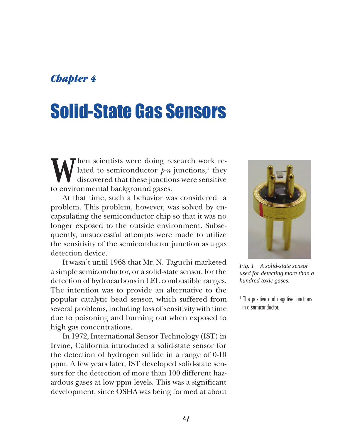# *Chapter 4*

# Solid-State Gas Sensors

We hen scientists were doing research work re-<br>discovered that these junctions were sensitive lated to semiconductor *p-n* junctions,<sup>1</sup> they discovered that these junctions were sensitive to environmental background gases.

At that time, such a behavior was considered a problem. This problem, however, was solved by encapsulating the semiconductor chip so that it was no longer exposed to the outside environment. Subsequently, unsuccessful attempts were made to utilize the sensitivity of the semiconductor junction as a gas detection device.

It wasn't until 1968 that Mr. N. Taguchi marketed a simple semiconductor, or a solid-state sensor, for the detection of hydrocarbons in LEL combustible ranges. The intention was to provide an alternative to the popular catalytic bead sensor, which suffered from several problems, including loss of sensitivity with time due to poisoning and burning out when exposed to high gas concentrations.

In 1972, International Sensor Technology (IST) in Irvine, California introduced a solid-state sensor for the detection of hydrogen sulfide in a range of 0-10 ppm. A few years later, IST developed solid-state sensors for the detection of more than 100 different hazardous gases at low ppm levels. This was a significant development, since OSHA was being formed at about



*Fig. 1 A solid-state sensor used for detecting more than a hundred toxic gases.*

1 The positive and negative junctions in a semiconductor.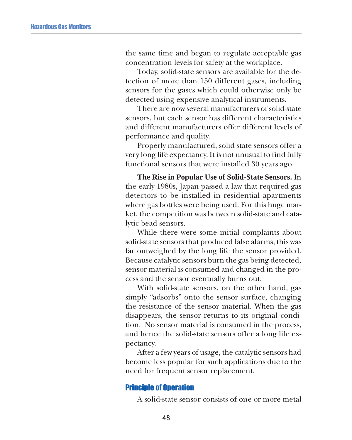the same time and began to regulate acceptable gas concentration levels for safety at the workplace.

Today, solid-state sensors are available for the detection of more than 150 different gases, including sensors for the gases which could otherwise only be detected using expensive analytical instruments.

There are now several manufacturers of solid-state sensors, but each sensor has different characteristics and different manufacturers offer different levels of performance and quality.

Properly manufactured, solid-state sensors offer a very long life expectancy. It is not unusual to find fully functional sensors that were installed 30 years ago.

**The Rise in Popular Use of Solid-State Sensors.** In the early 1980s, Japan passed a law that required gas detectors to be installed in residential apartments where gas bottles were being used. For this huge market, the competition was between solid-state and catalytic bead sensors.

While there were some initial complaints about solid-state sensors that produced false alarms, this was far outweighed by the long life the sensor provided. Because catalytic sensors burn the gas being detected, sensor material is consumed and changed in the process and the sensor eventually burns out.

With solid-state sensors, on the other hand, gas simply "adsorbs" onto the sensor surface, changing the resistance of the sensor material. When the gas disappears, the sensor returns to its original condition. No sensor material is consumed in the process, and hence the solid-state sensors offer a long life expectancy.

After a few years of usage, the catalytic sensors had become less popular for such applications due to the need for frequent sensor replacement.

### Principle of Operation

A solid-state sensor consists of one or more metal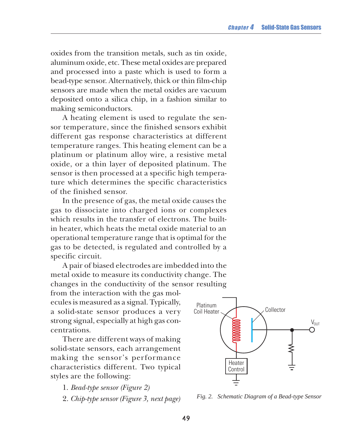oxides from the transition metals, such as tin oxide, aluminum oxide, etc. These metal oxides are prepared and processed into a paste which is used to form a bead-type sensor. Alternatively, thick or thin film-chip sensors are made when the metal oxides are vacuum deposited onto a silica chip, in a fashion similar to making semiconductors.

A heating element is used to regulate the sensor temperature, since the finished sensors exhibit different gas response characteristics at different temperature ranges. This heating element can be a platinum or platinum alloy wire, a resistive metal oxide, or a thin layer of deposited platinum. The sensor is then processed at a specific high temperature which determines the specific characteristics of the finished sensor.

In the presence of gas, the metal oxide causes the gas to dissociate into charged ions or complexes which results in the transfer of electrons. The builtin heater, which heats the metal oxide material to an operational temperature range that is optimal for the gas to be detected, is regulated and controlled by a specific circuit.

A pair of biased electrodes are imbedded into the metal oxide to measure its conductivity change. The changes in the conductivity of the sensor resulting

from the interaction with the gas molecules is measured as a signal. Typically, a solid-state sensor produces a very strong signal, especially at high gas concentrations.

There are different ways of making solid-state sensors, each arrangement making the sensor's performance characteristics different. Two typical styles are the following:

- 1. *Bead-type sensor (Figure 2)*
- 2. *Chip-type sensor (Figure 3, next page)*



*Fig. 2. Schematic Diagram of a Bead-type Sensor*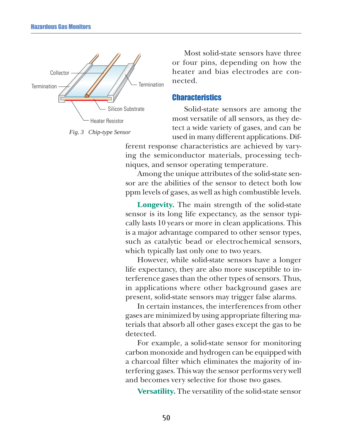

*Fig. 3 Chip-type Sensor*

Most solid-state sensors have three or four pins, depending on how the heater and bias electrodes are connected.

#### **Characteristics**

Solid-state sensors are among the most versatile of all sensors, as they detect a wide variety of gases, and can be used in many different applications. Dif-

ferent response characteristics are achieved by varying the semiconductor materials, processing techniques, and sensor operating temperature.

Among the unique attributes of the solid-state sensor are the abilities of the sensor to detect both low ppm levels of gases, as well as high combustible levels.

**Longevity.** The main strength of the solid-state sensor is its long life expectancy, as the sensor typically lasts 10 years or more in clean applications. This is a major advantage compared to other sensor types, such as catalytic bead or electrochemical sensors, which typically last only one to two years.

However, while solid-state sensors have a longer life expectancy, they are also more susceptible to interference gases than the other types of sensors. Thus, in applications where other background gases are present, solid-state sensors may trigger false alarms.

In certain instances, the interferences from other gases are minimized by using appropriate filtering materials that absorb all other gases except the gas to be detected.

For example, a solid-state sensor for monitoring carbon monoxide and hydrogen can be equipped with a charcoal filter which eliminates the majority of interfering gases. This way the sensor performs very well and becomes very selective for those two gases.

**Versatility.** The versatility of the solid-state sensor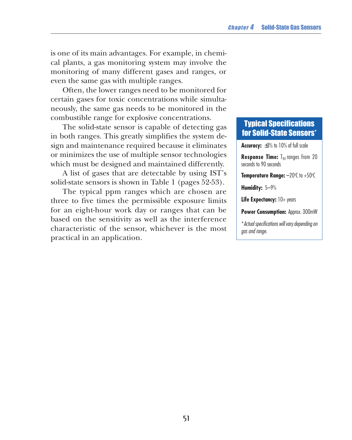is one of its main advantages. For example, in chemical plants, a gas monitoring system may involve the monitoring of many different gases and ranges, or even the same gas with multiple ranges.

Often, the lower ranges need to be monitored for certain gases for toxic concentrations while simultaneously, the same gas needs to be monitored in the combustible range for explosive concentrations.

The solid-state sensor is capable of detecting gas in both ranges. This greatly simplifies the system design and maintenance required because it eliminates or minimizes the use of multiple sensor technologies which must be designed and maintained differently.

A list of gases that are detectable by using IST's solid-state sensors is shown in Table 1 (pages 52-53).

The typical ppm ranges which are chosen are three to five times the permissible exposure limits for an eight-hour work day or ranges that can be based on the sensitivity as well as the interference characteristic of the sensor, whichever is the most practical in an application.

## Typical Specifications for Solid-State Sensors\*

**Accuracy:** ±3% to 10% of full scale

**Response Time:** T<sub>80</sub> ranges from 20 seconds to 90 seconds

**Temperature Range:**  $-20^{\circ}$ C to  $+50^{\circ}$ C

**Humidity:** 5–9%

**Life Expectancy:** 10+ years

**Power Consumption:** Approx. 300mW

\*Actual specifications will vary depending on gas and range.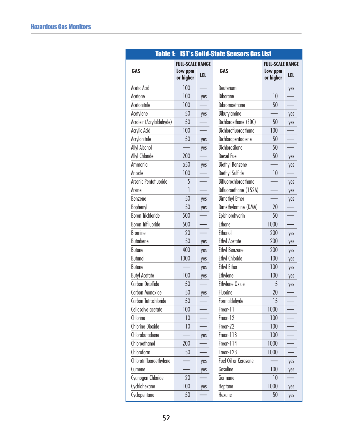| <b>Table 1:</b><br><b>IST's Solid-State Sensors Gas List</b> |                         |     |                       |                         |     |  |  |
|--------------------------------------------------------------|-------------------------|-----|-----------------------|-------------------------|-----|--|--|
|                                                              | <b>FULL-SCALE RANGE</b> |     |                       | <b>FULL-SCALE RANGE</b> |     |  |  |
| <b>GAS</b>                                                   | Low ppm<br>or higher    | LEL | <b>GAS</b>            | Low ppm<br>or higher    | LEL |  |  |
| Acetic Acid                                                  | 100                     |     | Deuterium             |                         | yes |  |  |
| Acetone                                                      | 100                     | yes | Diborane              | 10                      |     |  |  |
| Acetonitrile                                                 | 100                     |     | Dibromoethane         | 50                      |     |  |  |
| Acetylene                                                    | 50                      | yes | Dibutylamine          |                         | yes |  |  |
| Acrolein (Acrylaldehyde)                                     | 50                      |     | Dichloroethane (EDC)  | 50                      | yes |  |  |
| Acrylic Acid                                                 | 100                     |     | Dichlorofluoroethane  | 100                     |     |  |  |
| Acrylonitrile                                                | 50                      | yes | Dichloropentadiene    | 50                      |     |  |  |
| <b>Allyl Alcohol</b>                                         |                         | yes | Dichlorosilane        | 50                      |     |  |  |
| Allyl Chloride                                               | 200                     |     | Diesel Fuel           | 50                      | yes |  |  |
| Ammonia                                                      | x50                     | yes | Diethyl Benzene       |                         | yes |  |  |
| Anisole                                                      | 100                     |     | Diethyl Sulfide       | 10                      |     |  |  |
| Arsenic Pentafluoride                                        | 5                       |     | Difluorochloroethane  |                         | yes |  |  |
| Arsine                                                       | 1                       |     | Difluoroethane (152A) |                         | yes |  |  |
| Benzene                                                      | 50                      | yes | Dimethyl Ether        |                         | yes |  |  |
| <b>Bophenyl</b>                                              | 50                      | yes | Dimethylamine (DMA)   | 20                      |     |  |  |
| <b>Boron Trichloride</b>                                     | 500                     |     | Epichlorohydrin       | 50                      |     |  |  |
| <b>Boron Triflluoride</b>                                    | 500                     |     | Ethane                | 1000                    |     |  |  |
| <b>Bromine</b>                                               | 20                      |     | Ethanol               | 200                     | yes |  |  |
| Butadiene                                                    | 50                      | yes | <b>Ethyl Acetate</b>  | 200                     | yes |  |  |
| <b>Butane</b>                                                | 400                     | yes | <b>Ethyl Benzene</b>  | 200                     | yes |  |  |
| <b>Butanol</b>                                               | 1000                    | yes | <b>Ethyl Chloride</b> | 100                     | yes |  |  |
| <b>Butene</b>                                                |                         | yes | <b>Ethyl Ether</b>    | 100                     | yes |  |  |
| <b>Butyl Acetate</b>                                         | 100                     | yes | Ethylene              | 100                     | yes |  |  |
| Carbon Disulfide                                             | 50                      |     | Ethylene Oxide        | 5                       | yes |  |  |
| Carbon Monoxide                                              | 50                      | yes | Fluorine              | 20                      |     |  |  |
| Carbon Tetrachloride                                         | 50                      |     | Formaldehyde          | 15                      |     |  |  |
| Cellosolve acetate                                           | 100                     |     | Freon-11              | 1000                    |     |  |  |
| Chlorine                                                     | 10                      |     | Freon-12              | 100                     |     |  |  |
| <b>Chlorine Dioxide</b>                                      | 10                      |     | Freon-22              | 100                     |     |  |  |
| Chlorobutadiene                                              |                         | yes | Freon-113             | 100                     |     |  |  |
| Chloroethanol                                                | 200                     |     | Freon-114             | 1000                    |     |  |  |
| Chloroform                                                   | 50                      |     | Freon-123             | 1000                    |     |  |  |
| Chlorotrifluoroethylene                                      |                         | yes | Fuel Oil or Kerosene  |                         | yes |  |  |
| Cumene                                                       |                         | yes | Gasoline              | 100                     | yes |  |  |
| Cyanogen Chloride                                            | 20                      |     | Germane               | 10                      |     |  |  |
| Cychlohexane                                                 | 100                     | yes | Heptane               | 1000                    | yes |  |  |
| Cyclopentane                                                 | 50                      |     | Hexane                | 50                      | yes |  |  |

## **52**